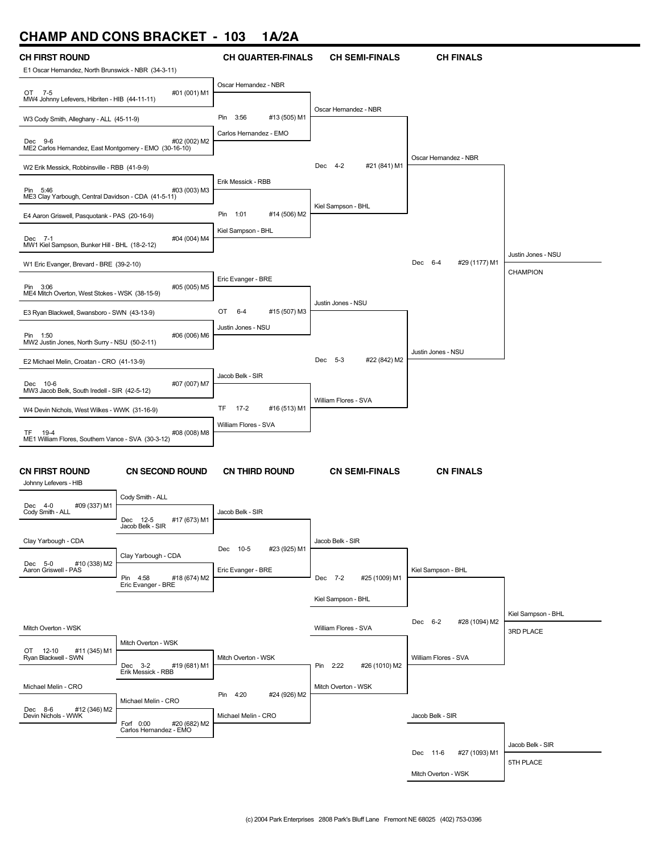# **CHAMP AND CONS BRACKET - 103 1A/2A**

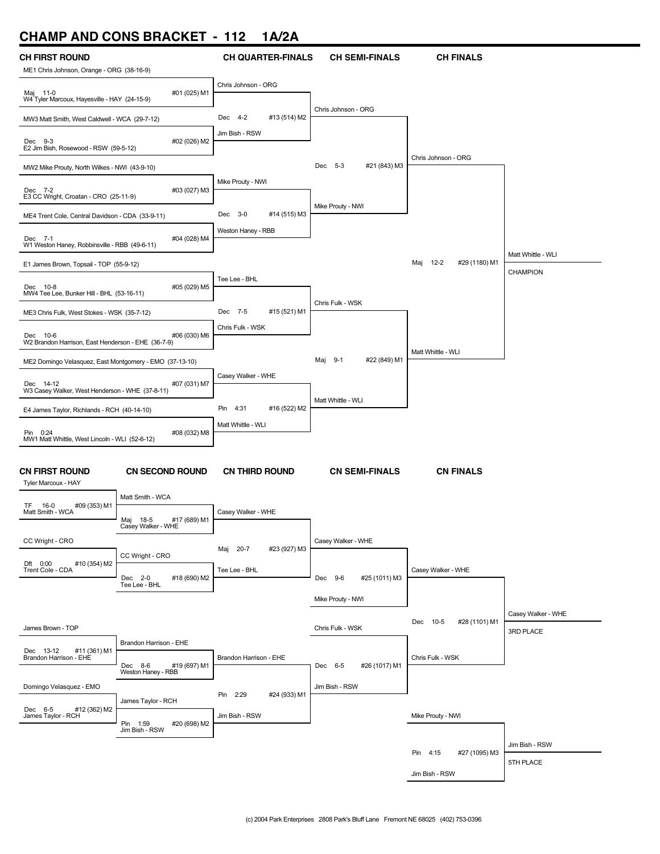# **CHAMP AND CONS BRACKET - 112 1A/2A**

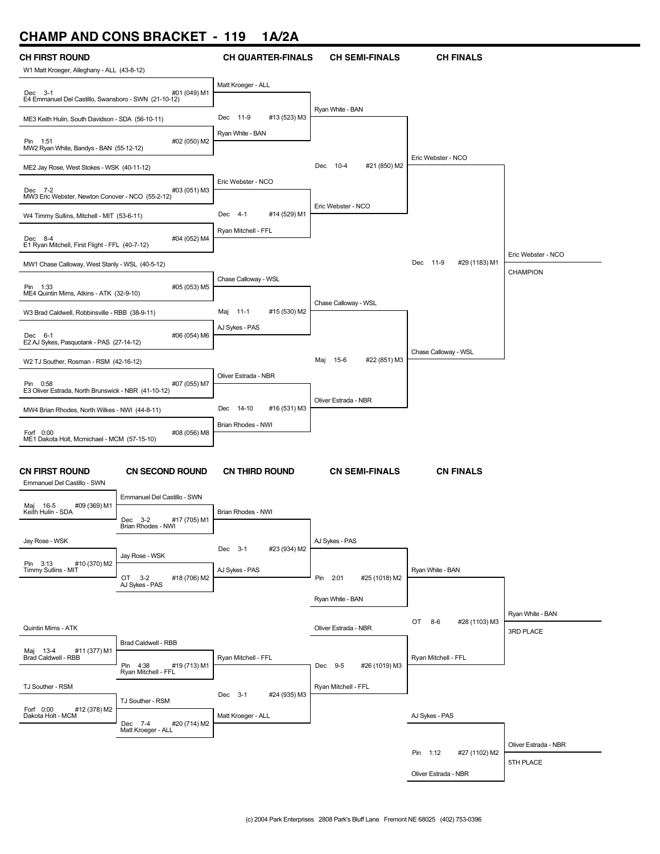# **CHAMP AND CONS BRACKET - 119 1A/2A**

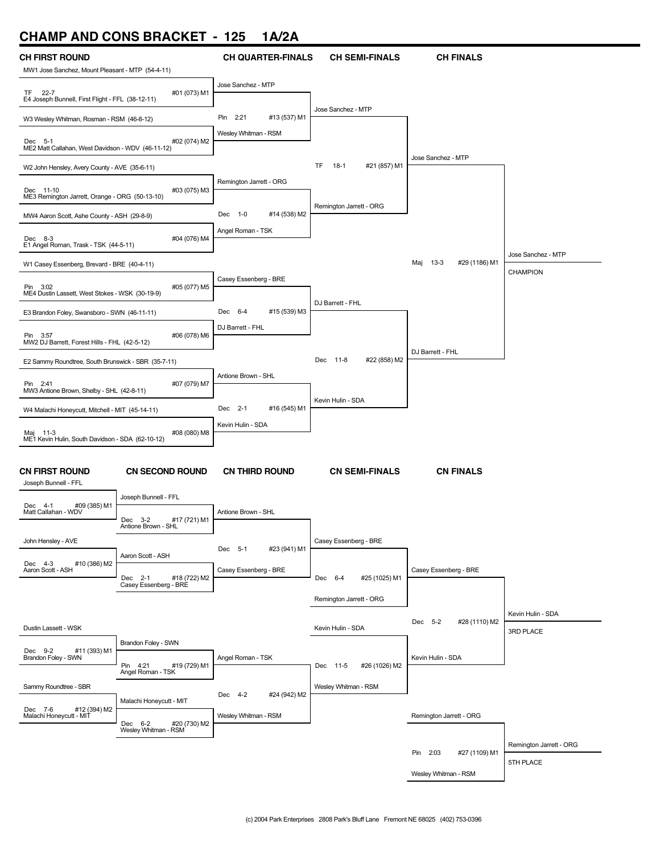# **CHAMP AND CONS BRACKET - 125 1A/2A**

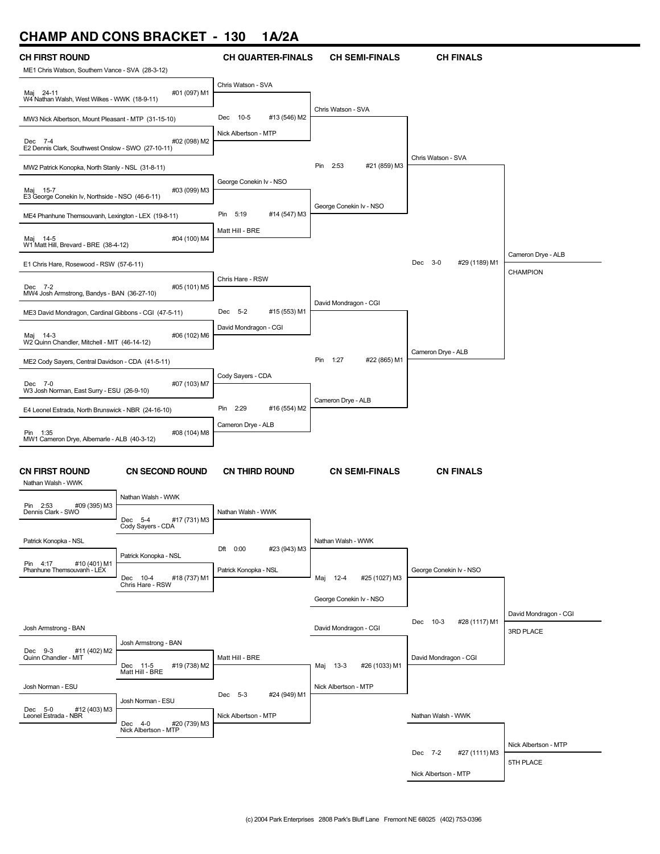# **CHAMP AND CONS BRACKET - 130 1A/2A**

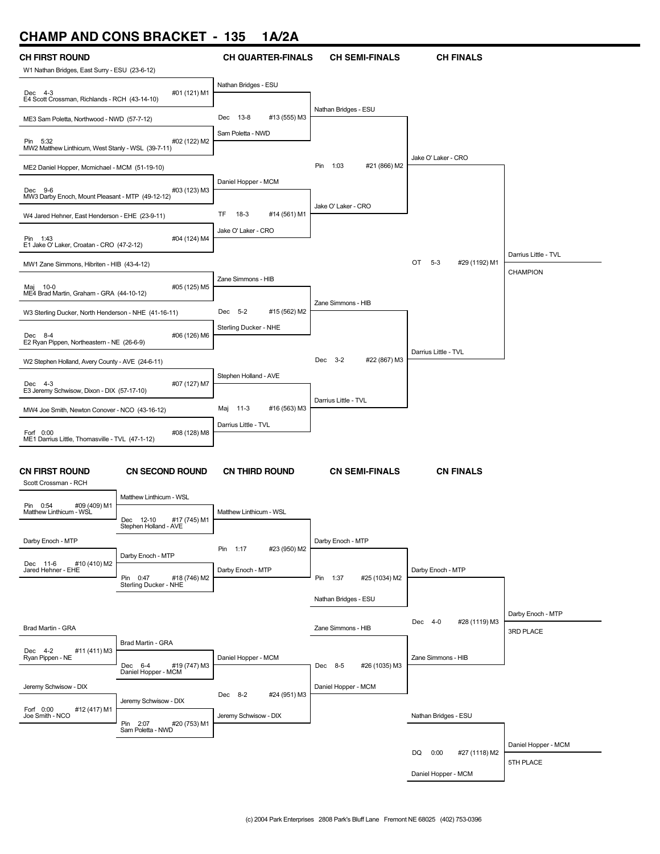# **CHAMP AND CONS BRACKET - 135 1A/2A**

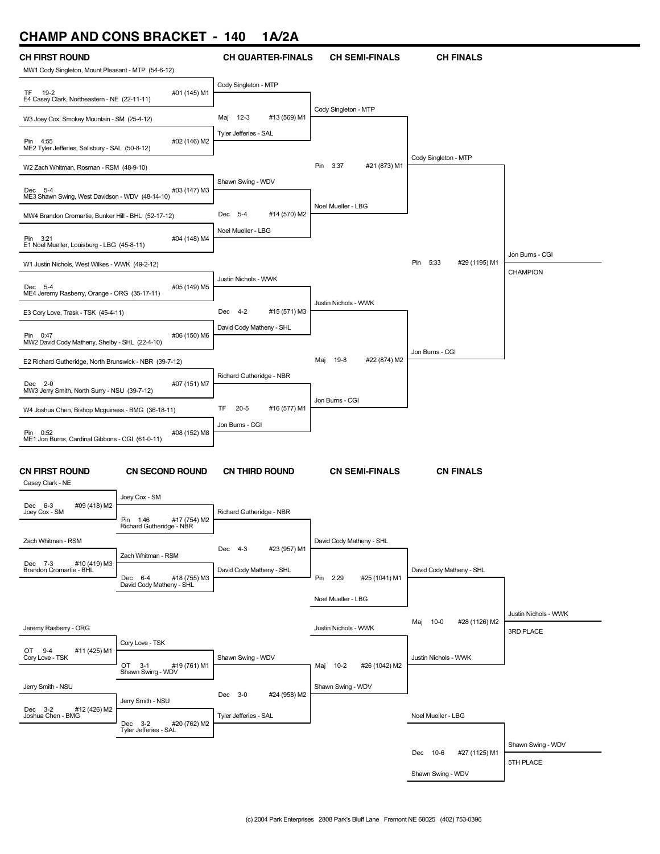# **CHAMP AND CONS BRACKET - 140 1A/2A**

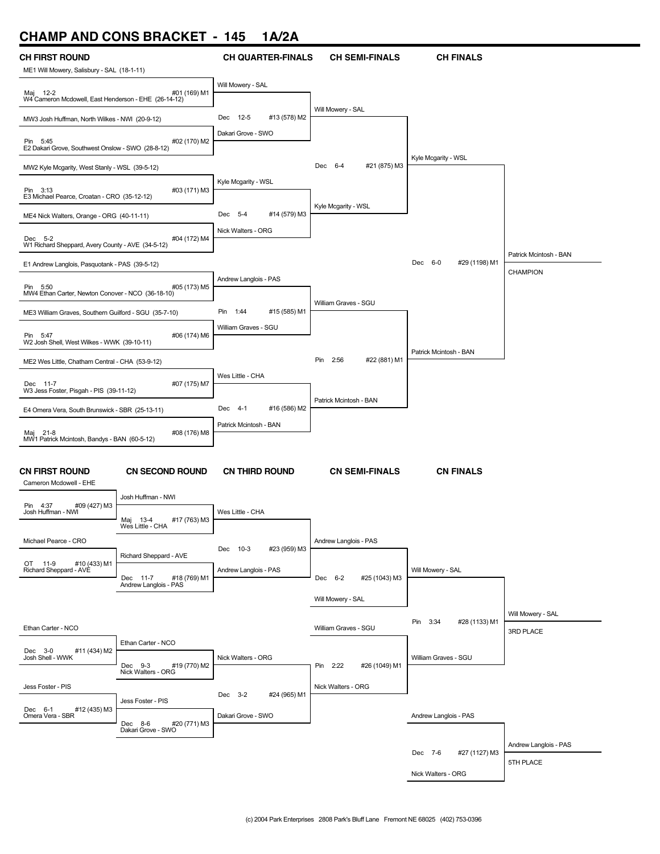# **CHAMP AND CONS BRACKET - 145 1A/2A**

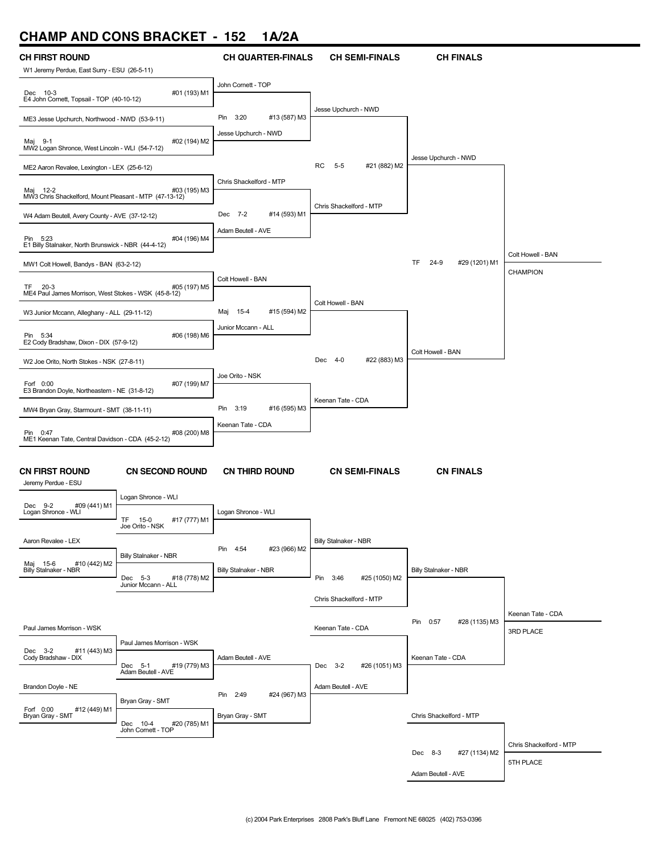# **CHAMP AND CONS BRACKET - 152 1A/2A**

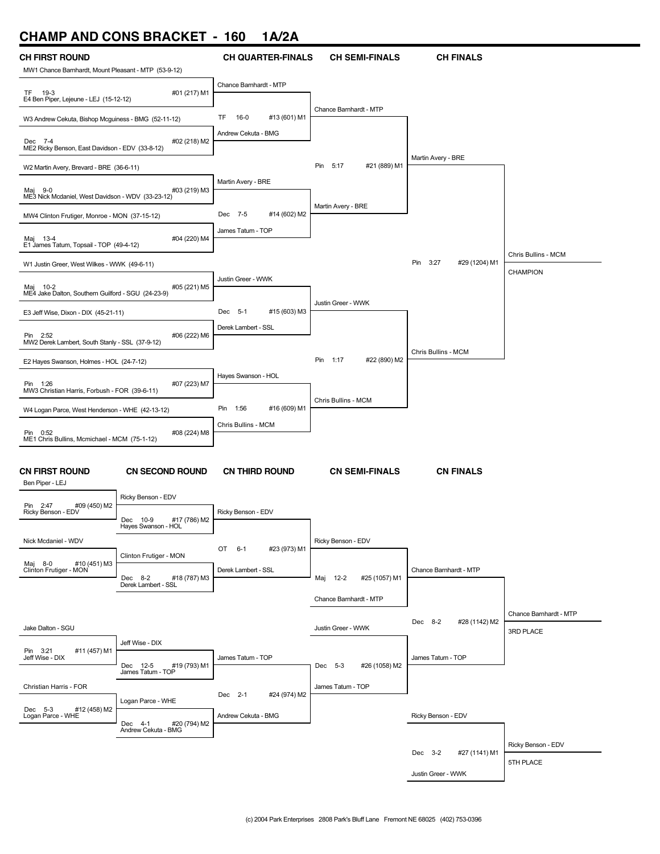# **CHAMP AND CONS BRACKET - 160 1A/2A**

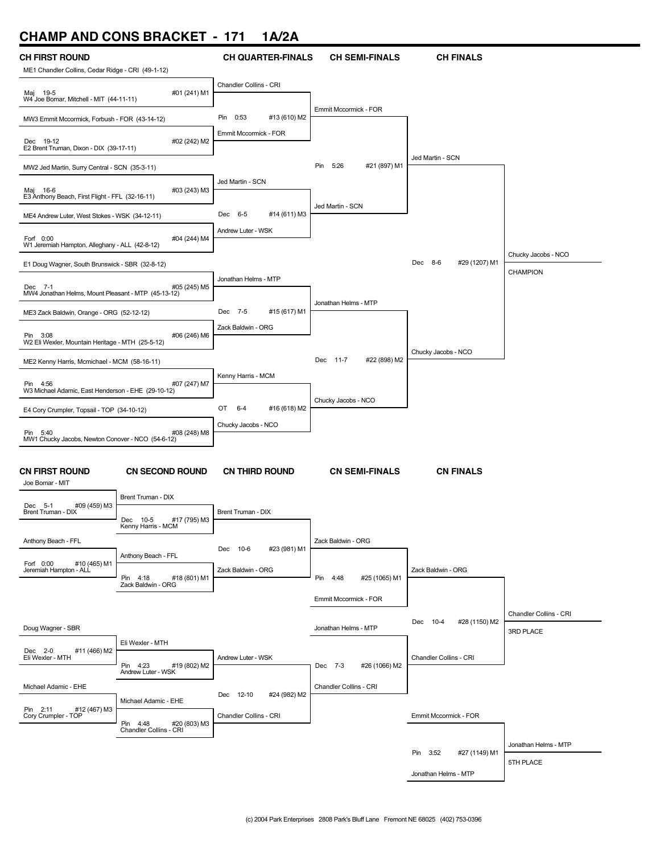# **CHAMP AND CONS BRACKET - 171 1A/2A**

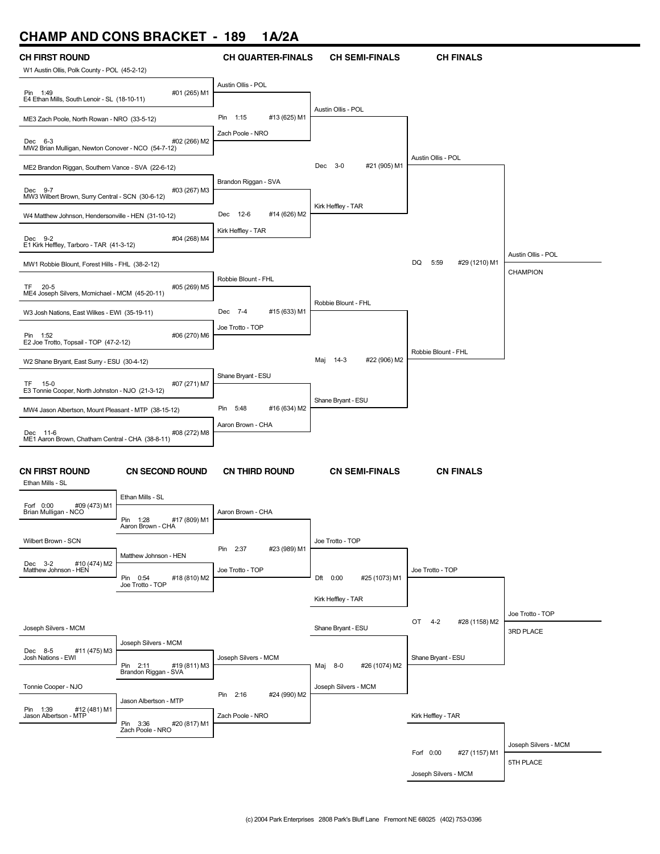# **CHAMP AND CONS BRACKET - 189 1A/2A**

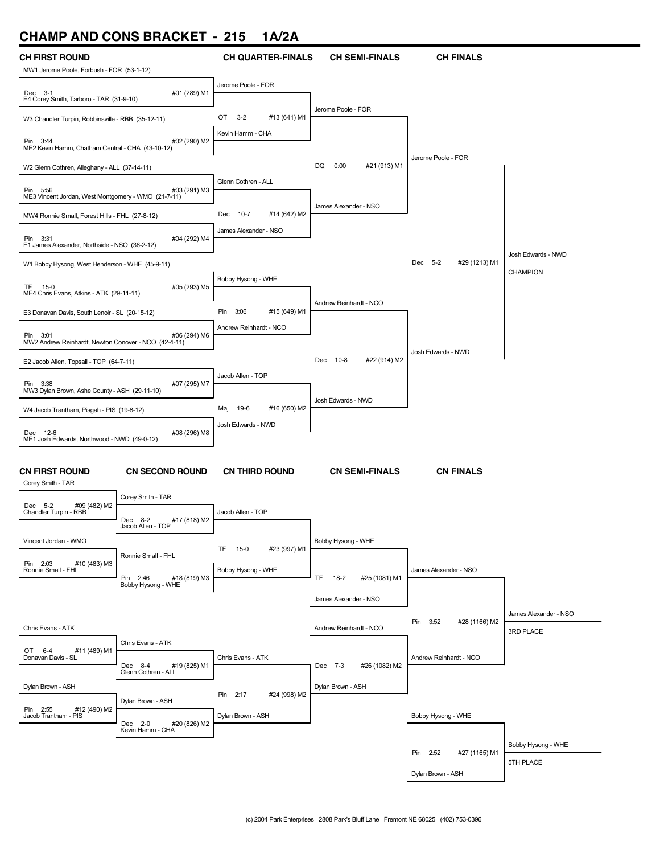# **CHAMP AND CONS BRACKET - 215 1A/2A**